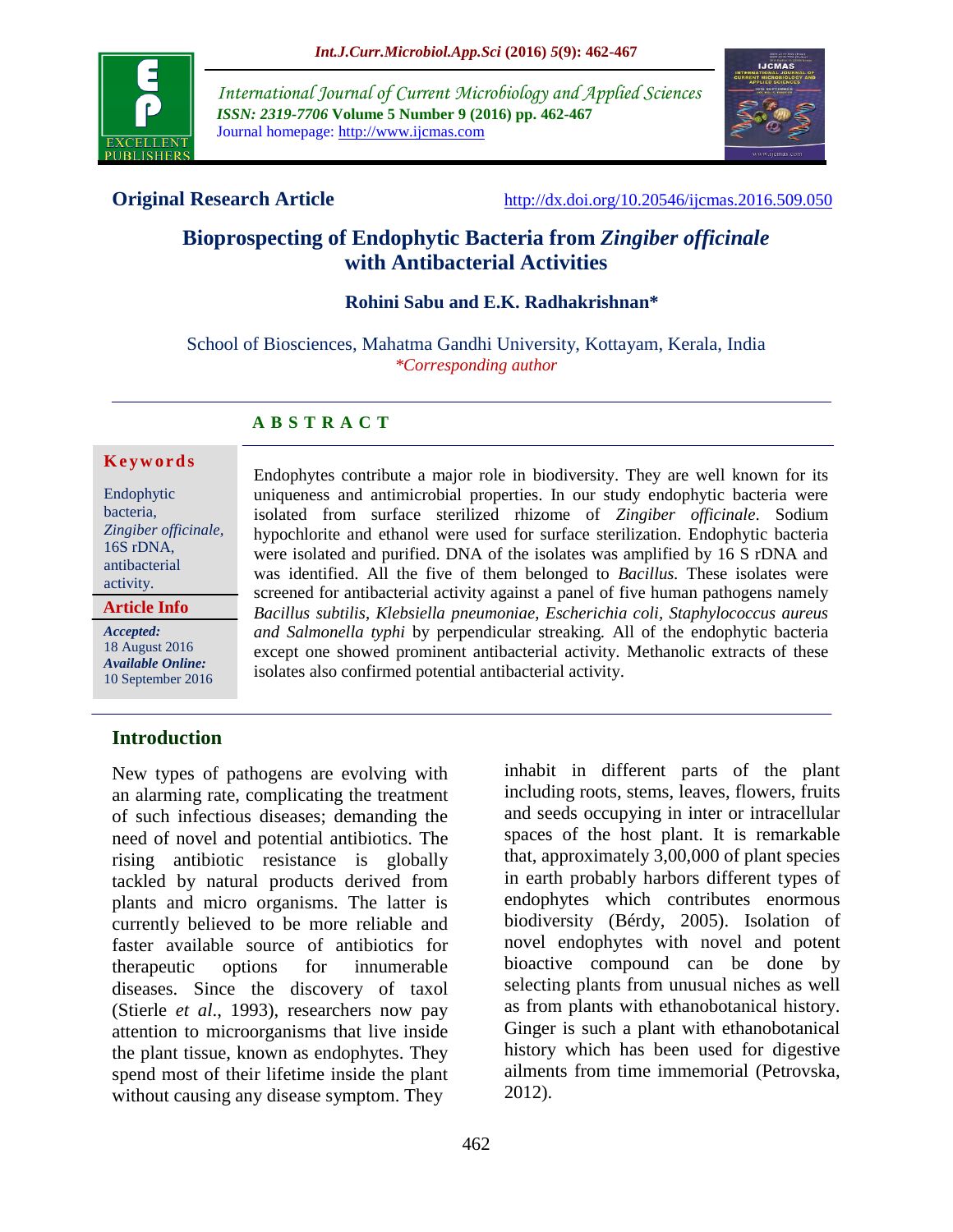

*International Journal of Current Microbiology and Applied Sciences ISSN: 2319-7706* **Volume 5 Number 9 (2016) pp. 462-467** Journal homepage: http://www.ijcmas.com



**Original Research Article** <http://dx.doi.org/10.20546/ijcmas.2016.509.050>

# **Bioprospecting of Endophytic Bacteria from** *Zingiber officinale* **with Antibacterial Activities**

## **Rohini Sabu and E.K. Radhakrishnan\***

School of Biosciences, Mahatma Gandhi University, Kottayam, Kerala, India *\*Corresponding author*

#### **A B S T R A C T**

#### **K e y w o r d s**

Endophytic bacteria, *Zingiber officinale,*  16S rDNA, antibacterial activity.

**Article Info**

*Accepted:*  18 August 2016 *Available Online:* 10 September 2016 Endophytes contribute a major role in biodiversity. They are well known for its uniqueness and antimicrobial properties. In our study endophytic bacteria were isolated from surface sterilized rhizome of *Zingiber officinale*. Sodium hypochlorite and ethanol were used for surface sterilization. Endophytic bacteria were isolated and purified. DNA of the isolates was amplified by 16 S rDNA and was identified. All the five of them belonged to *Bacillus.* These isolates were screened for antibacterial activity against a panel of five human pathogens namely *Bacillus subtilis*, *Klebsiella pneumoniae*, *Escherichia coli, Staphylococcus aureus and Salmonella typhi* by perpendicular streaking*.* All of the endophytic bacteria except one showed prominent antibacterial activity. Methanolic extracts of these isolates also confirmed potential antibacterial activity.

## **Introduction**

New types of pathogens are evolving with an alarming rate, complicating the treatment of such infectious diseases; demanding the need of novel and potential antibiotics. The rising antibiotic resistance is globally tackled by natural products derived from plants and micro organisms. The latter is currently believed to be more reliable and faster available source of antibiotics for therapeutic options for innumerable diseases. Since the discovery of taxol (Stierle *et al*., 1993), researchers now pay attention to microorganisms that live inside the plant tissue, known as endophytes. They spend most of their lifetime inside the plant without causing any disease symptom. They

inhabit in different parts of the plant including roots, stems, leaves, flowers, fruits and seeds occupying in inter or intracellular spaces of the host plant. It is remarkable that, approximately 3,00,000 of plant species in earth probably harbors different types of endophytes which contributes enormous biodiversity (Bérdy, 2005). Isolation of novel endophytes with novel and potent bioactive compound can be done by selecting plants from unusual niches as well as from plants with ethanobotanical history. Ginger is such a plant with ethanobotanical history which has been used for digestive ailments from time immemorial (Petrovska, 2012).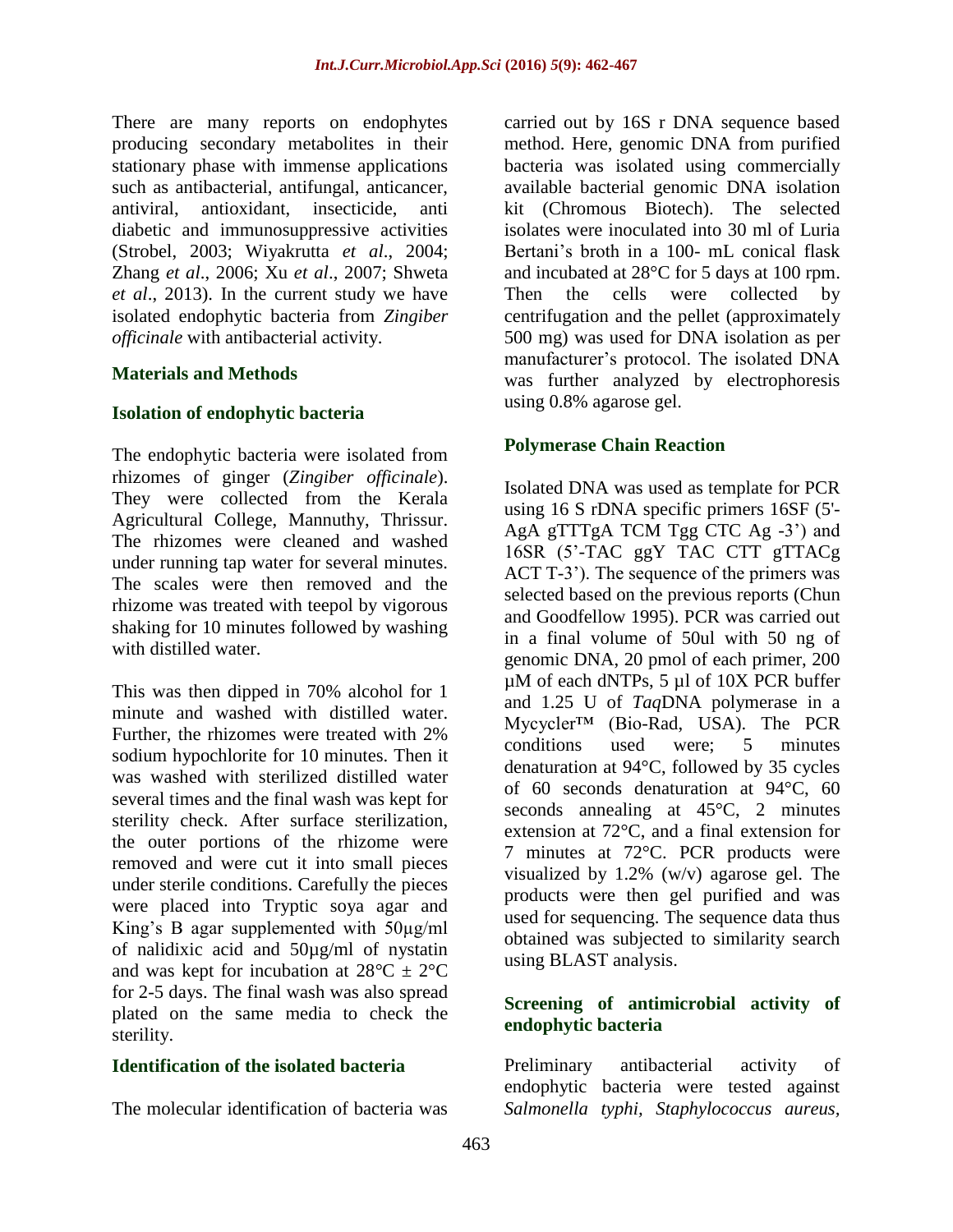There are many reports on endophytes producing secondary metabolites in their stationary phase with immense applications such as antibacterial, antifungal, anticancer, antiviral, antioxidant, insecticide, anti diabetic and immunosuppressive activities (Strobel, 2003; Wiyakrutta *et al*., 2004; Zhang *et al*., 2006; Xu *et al*., 2007; Shweta *et al*., 2013). In the current study we have isolated endophytic bacteria from *Zingiber officinale* with antibacterial activity.

#### **Materials and Methods**

#### **Isolation of endophytic bacteria**

The endophytic bacteria were isolated from rhizomes of ginger (*Zingiber officinale*). They were collected from the Kerala Agricultural College, Mannuthy, Thrissur. The rhizomes were cleaned and washed under running tap water for several minutes. The scales were then removed and the rhizome was treated with teepol by vigorous shaking for 10 minutes followed by washing with distilled water.

This was then dipped in 70% alcohol for 1 minute and washed with distilled water. Further, the rhizomes were treated with 2% sodium hypochlorite for 10 minutes. Then it was washed with sterilized distilled water several times and the final wash was kept for sterility check. After surface sterilization, the outer portions of the rhizome were removed and were cut it into small pieces under sterile conditions. Carefully the pieces were placed into Tryptic soya agar and King's B agar supplemented with 50µg/ml of nalidixic acid and 50µg/ml of nystatin and was kept for incubation at  $28^{\circ}C \pm 2^{\circ}C$ for 2-5 days. The final wash was also spread plated on the same media to check the sterility.

## **Identification of the isolated bacteria**

The molecular identification of bacteria was

carried out by 16S r DNA sequence based method. Here, genomic DNA from purified bacteria was isolated using commercially available bacterial genomic DNA isolation kit (Chromous Biotech). The selected isolates were inoculated into 30 ml of Luria Bertani's broth in a 100- mL conical flask and incubated at 28°C for 5 days at 100 rpm. Then the cells were collected by centrifugation and the pellet (approximately 500 mg) was used for DNA isolation as per manufacturer's protocol. The isolated DNA was further analyzed by electrophoresis using 0.8% agarose gel.

#### **Polymerase Chain Reaction**

Isolated DNA was used as template for PCR using 16 S rDNA specific primers 16SF (5'- AgA gTTTgA TCM Tgg CTC Ag -3') and 16SR (5'-TAC ggY TAC CTT gTTACg ACT T-3'). The sequence of the primers was selected based on the previous reports (Chun and Goodfellow 1995). PCR was carried out in a final volume of 50ul with 50 ng of genomic DNA, 20 pmol of each primer, 200 µM of each dNTPs, 5 µl of 10X PCR buffer and 1.25 U of *Taq*DNA polymerase in a Mycycler™ (Bio-Rad, USA). The PCR conditions used were; 5 minutes denaturation at 94°C, followed by 35 cycles of 60 seconds denaturation at 94°C, 60 seconds annealing at 45°C, 2 minutes extension at 72°C, and a final extension for 7 minutes at 72°C. PCR products were visualized by 1.2% (w/v) agarose gel. The products were then gel purified and was used for sequencing. The sequence data thus obtained was subjected to similarity search using BLAST analysis.

## **Screening of antimicrobial activity of endophytic bacteria**

Preliminary antibacterial activity of endophytic bacteria were tested against *Salmonella typhi, Staphylococcus aureus,*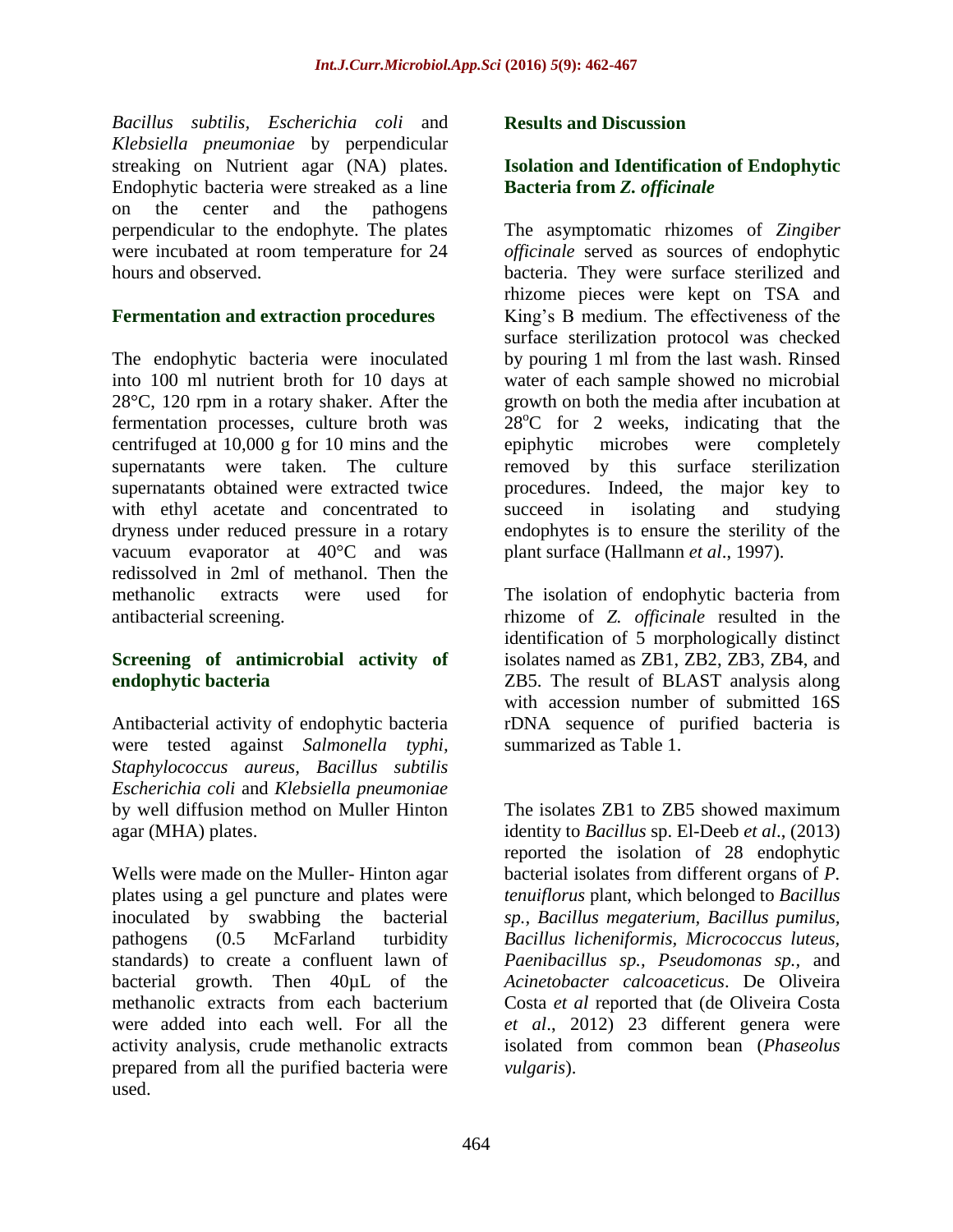*Bacillus subtilis, Escherichia coli* and *Klebsiella pneumoniae* by perpendicular streaking on Nutrient agar (NA) plates. Endophytic bacteria were streaked as a line on the center and the pathogens perpendicular to the endophyte. The plates were incubated at room temperature for 24 hours and observed.

## **Fermentation and extraction procedures**

The endophytic bacteria were inoculated into 100 ml nutrient broth for 10 days at 28°C, 120 rpm in a rotary shaker. After the fermentation processes, culture broth was centrifuged at 10,000 g for 10 mins and the supernatants were taken. The culture supernatants obtained were extracted twice with ethyl acetate and concentrated to dryness under reduced pressure in a rotary vacuum evaporator at 40°C and was redissolved in 2ml of methanol. Then the methanolic extracts were used for antibacterial screening.

## **Screening of antimicrobial activity of endophytic bacteria**

Antibacterial activity of endophytic bacteria were tested against *Salmonella typhi, Staphylococcus aureus, Bacillus subtilis Escherichia coli* and *Klebsiella pneumoniae*  by well diffusion method on Muller Hinton agar (MHA) plates.

Wells were made on the Muller- Hinton agar plates using a gel puncture and plates were inoculated by swabbing the bacterial pathogens (0.5 McFarland turbidity standards) to create a confluent lawn of bacterial growth. Then 40µL of the methanolic extracts from each bacterium were added into each well. For all the activity analysis, crude methanolic extracts prepared from all the purified bacteria were used.

#### **Results and Discussion**

#### **Isolation and Identification of Endophytic Bacteria from** *Z. officinale*

The asymptomatic rhizomes of *Zingiber officinale* served as sources of endophytic bacteria. They were surface sterilized and rhizome pieces were kept on TSA and King's B medium. The effectiveness of the surface sterilization protocol was checked by pouring 1 ml from the last wash. Rinsed water of each sample showed no microbial growth on both the media after incubation at  $28^{\circ}$ C for 2 weeks, indicating that the epiphytic microbes were completely removed by this surface sterilization procedures. Indeed, the major key to succeed in isolating and studying endophytes is to ensure the sterility of the plant surface (Hallmann *et al*., 1997).

The isolation of endophytic bacteria from rhizome of *Z. officinale* resulted in the identification of 5 morphologically distinct isolates named as ZB1, ZB2, ZB3, ZB4, and ZB5. The result of BLAST analysis along with accession number of submitted 16S rDNA sequence of purified bacteria is summarized as Table 1.

The isolates ZB1 to ZB5 showed maximum identity to *Bacillus* sp. El-Deeb *et al*., (2013) reported the isolation of 28 endophytic bacterial isolates from different organs of *P. tenuiflorus* plant, which belonged to *Bacillus sp., Bacillus megaterium, Bacillus pumilus, Bacillus licheniformis, Micrococcus luteus, Paenibacillus sp., Pseudomonas sp.,* and *Acinetobacter calcoaceticus*. De Oliveira Costa *et al* reported that (de Oliveira Costa *et al*., 2012) 23 different genera were isolated from common bean (*Phaseolus vulgaris*).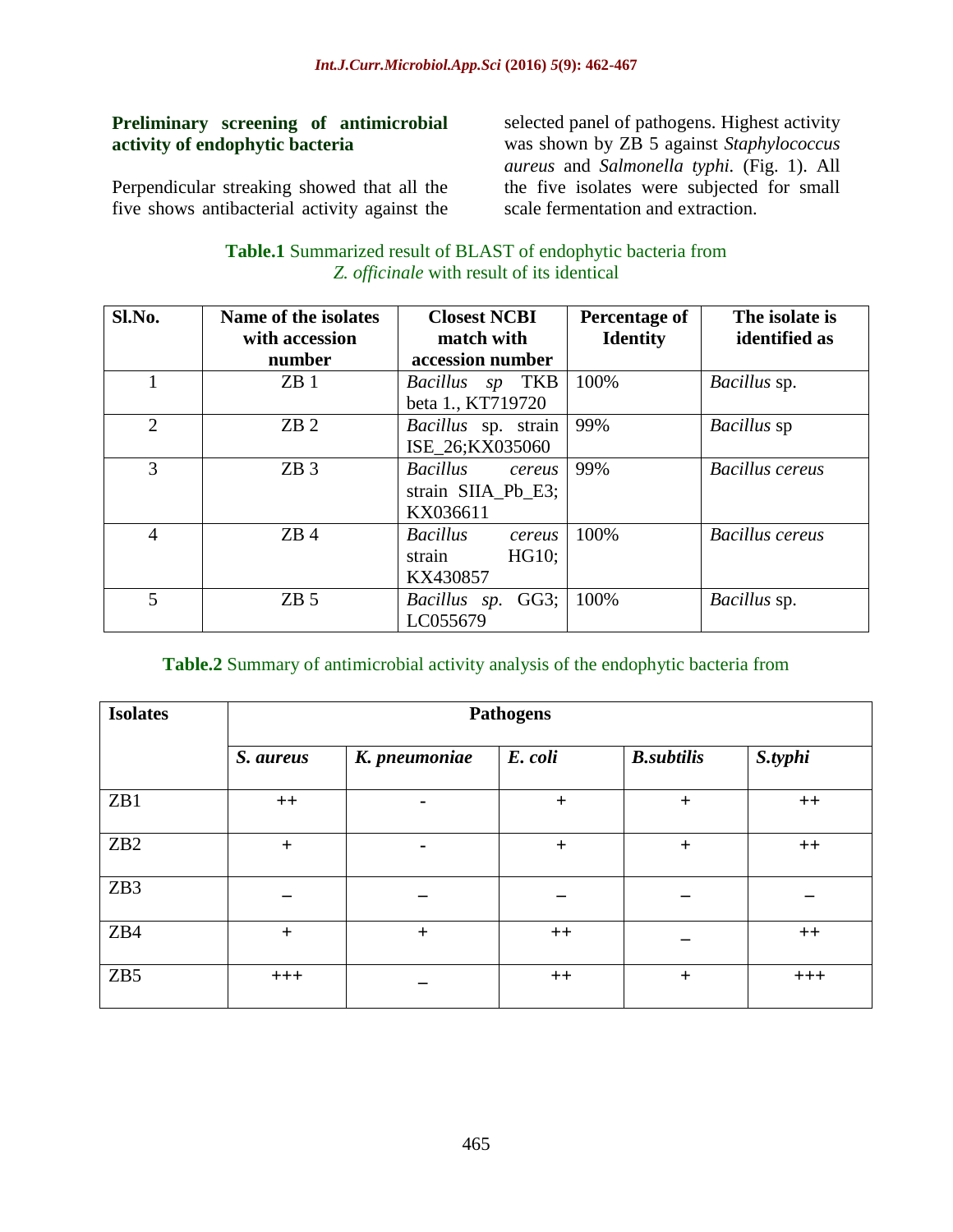#### **Preliminary screening of antimicrobial activity of endophytic bacteria**

Perpendicular streaking showed that all the five shows antibacterial activity against the selected panel of pathogens. Highest activity was shown by ZB 5 against *Staphylococcus aureus* and *Salmonella typhi.* (Fig. 1). All the five isolates were subjected for small scale fermentation and extraction.

#### **Table.1** Summarized result of BLAST of endophytic bacteria from *Z. officinale* with result of its identical

| Sl.No.         | Name of the isolates<br>with accession<br>number | <b>Closest NCBI</b><br>match with<br>accession number | Percentage of<br><b>Identity</b> | The isolate is<br>identified as |
|----------------|--------------------------------------------------|-------------------------------------------------------|----------------------------------|---------------------------------|
|                |                                                  |                                                       |                                  |                                 |
| 1              | ZB1                                              | Bacillus sp TKB                                       | 100%                             | Bacillus sp.                    |
|                |                                                  | beta 1., KT719720                                     |                                  |                                 |
| $\overline{2}$ | ZB2                                              | Bacillus sp. strain                                   | 99%                              | Bacillus sp                     |
|                |                                                  | ISE_26;KX035060                                       |                                  |                                 |
| 3              | ZB3                                              | <b>Bacillus</b><br>cereus                             | 99%                              | <b>Bacillus cereus</b>          |
|                |                                                  | strain SIIA_Pb_E3;                                    |                                  |                                 |
|                |                                                  | KX036611                                              |                                  |                                 |
| $\overline{4}$ | ZB4                                              | <b>Bacillus</b><br>cereus                             | 100%                             | <b>Bacillus</b> cereus          |
|                |                                                  | HG10;<br>strain                                       |                                  |                                 |
|                |                                                  | KX430857                                              |                                  |                                 |
| 5              | ZB <sub>5</sub>                                  | $GG3$ ;<br>Bacillus sp.                               | 100%                             | Bacillus sp.                    |
|                |                                                  | LC055679                                              |                                  |                                 |

## **Table.2** Summary of antimicrobial activity analysis of the endophytic bacteria from

| <b>Isolates</b> | <b>Pathogens</b> |                |           |                   |         |  |
|-----------------|------------------|----------------|-----------|-------------------|---------|--|
|                 | S. aureus        | K. pneumoniae  | E. coli   | <b>B.subtilis</b> | S.typhi |  |
| ZB1             | $++$             |                | $\ddot{}$ | $\ddot{}$         | $++$    |  |
| ZB <sub>2</sub> | $+$              | $\blacksquare$ | $\ddot{}$ | $+$               | $++$    |  |
| ZB3             |                  |                |           |                   |         |  |
| ZB4             | $+$              | $+$            | $++$      |                   | $++$    |  |
| ZB <sub>5</sub> | $+++$            |                | $++$      | $\ddot{}$         | $+++$   |  |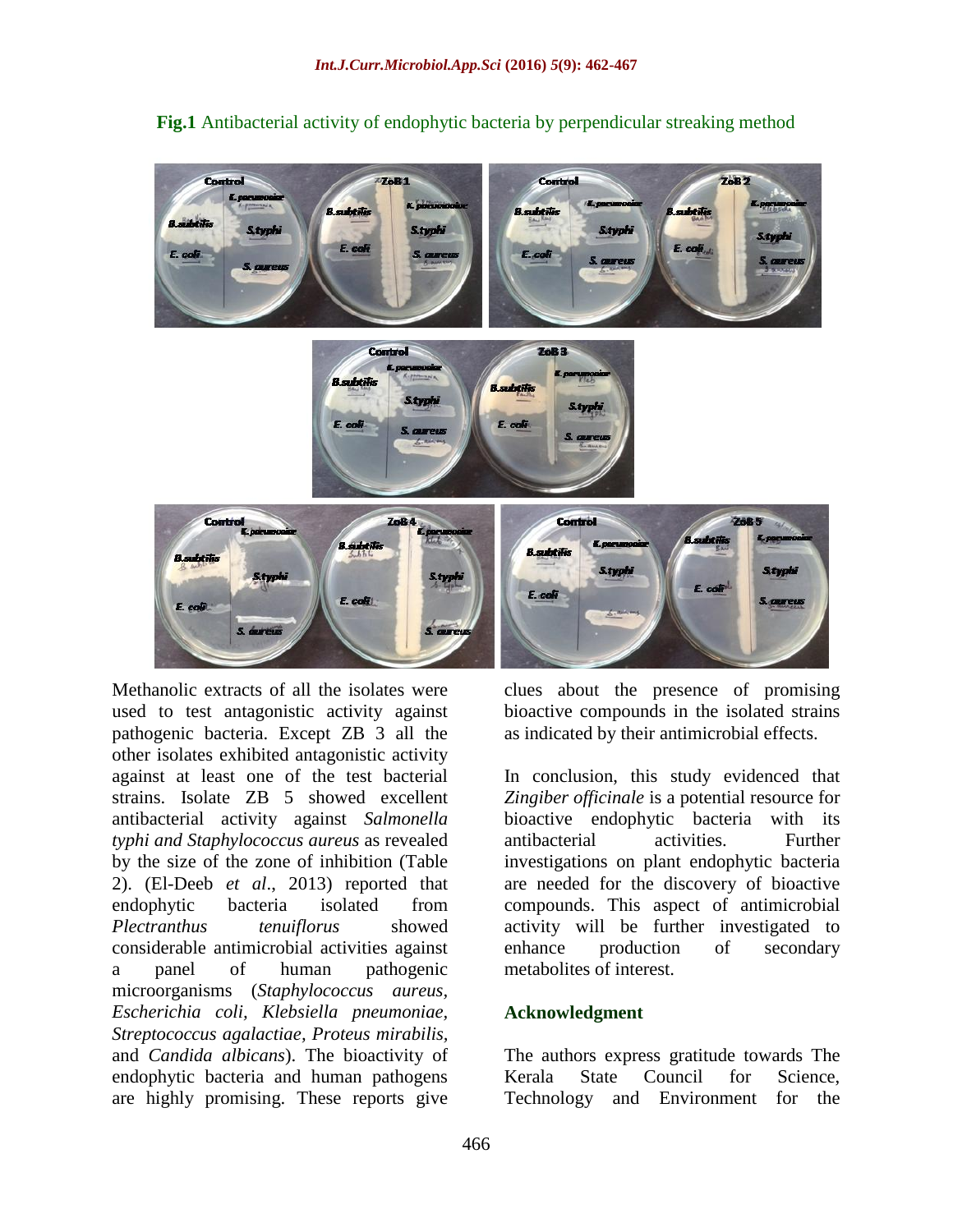

**Fig.1** Antibacterial activity of endophytic bacteria by perpendicular streaking method

Methanolic extracts of all the isolates were used to test antagonistic activity against pathogenic bacteria. Except ZB 3 all the other isolates exhibited antagonistic activity against at least one of the test bacterial strains. Isolate ZB 5 showed excellent antibacterial activity against *Salmonella typhi and Staphylococcus aureus* as revealed by the size of the zone of inhibition (Table 2). (El-Deeb *et al*., 2013) reported that endophytic bacteria isolated from *Plectranthus tenuiflorus* showed considerable antimicrobial activities against a panel of human pathogenic microorganisms (*Staphylococcus aureus, Escherichia coli, Klebsiella pneumoniae, Streptococcus agalactiae, Proteus mirabilis,*  and *Candida albicans*). The bioactivity of endophytic bacteria and human pathogens are highly promising. These reports give

clues about the presence of promising bioactive compounds in the isolated strains as indicated by their antimicrobial effects.

In conclusion, this study evidenced that *Zingiber officinale* is a potential resource for bioactive endophytic bacteria with its antibacterial activities. Further investigations on plant endophytic bacteria are needed for the discovery of bioactive compounds. This aspect of antimicrobial activity will be further investigated to enhance production of secondary metabolites of interest.

#### **Acknowledgment**

The authors express gratitude towards The Kerala State Council for Science, Technology and Environment for the